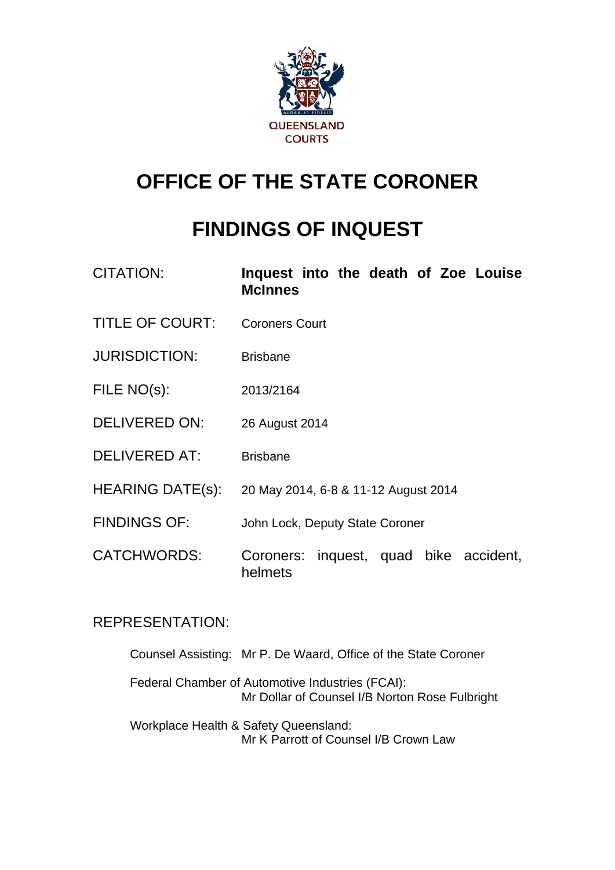

# **OFFICE OF THE STATE CORONER**

# **FINDINGS OF INQUEST**

| <b>CITATION:</b>       | Inquest into the death of Zoe Louise<br><b>McInnes</b> |
|------------------------|--------------------------------------------------------|
| <b>TITLE OF COURT:</b> | <b>Coroners Court</b>                                  |
| <b>JURISDICTION:</b>   | <b>Brisbane</b>                                        |
| FILE NO(s):            | 2013/2164                                              |
| <b>DELIVERED ON:</b>   | 26 August 2014                                         |
| <b>DELIVERED AT:</b>   | <b>Brisbane</b>                                        |
| HEARING DATE(s):       | 20 May 2014, 6-8 & 11-12 August 2014                   |
| <b>FINDINGS OF:</b>    | John Lock, Deputy State Coroner                        |
| <b>CATCHWORDS:</b>     | Coroners: inquest, quad bike accident,<br>helmets      |

## REPRESENTATION:

 Counsel Assisting: Mr P. De Waard, Office of the State Coroner Federal Chamber of Automotive Industries (FCAI): Mr Dollar of Counsel I/B Norton Rose Fulbright Workplace Health & Safety Queensland: Mr K Parrott of Counsel I/B Crown Law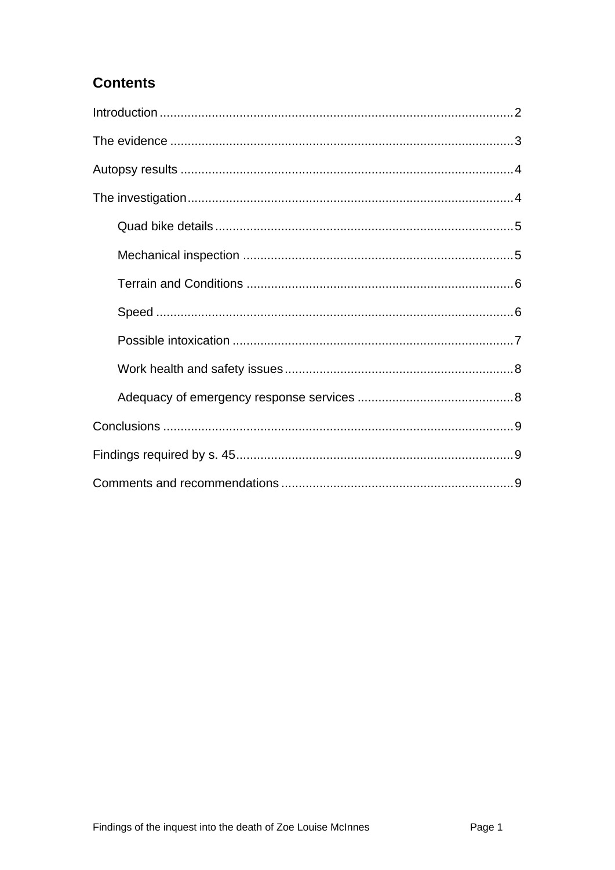## **Contents**

<span id="page-1-0"></span>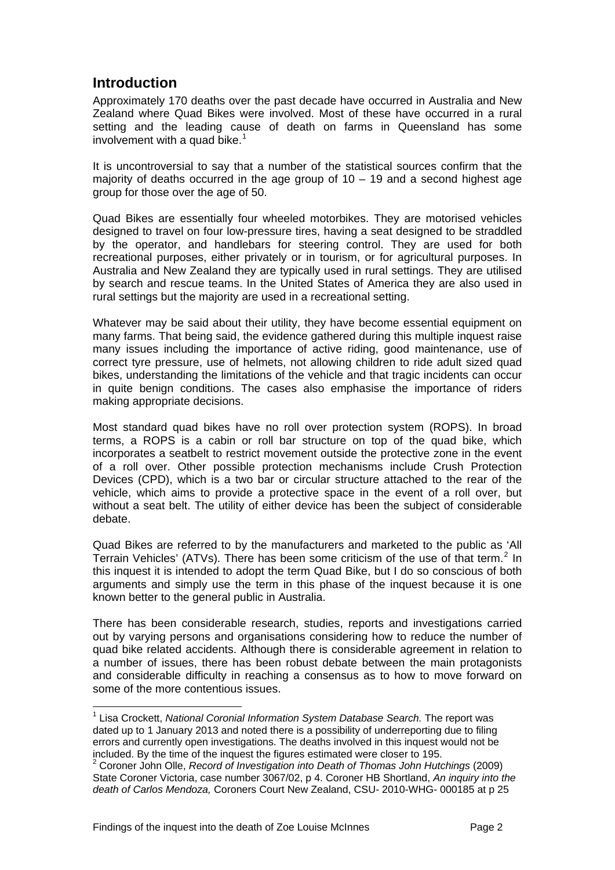### **Introduction**

<span id="page-2-0"></span>Approximately 170 deaths over the past decade have occurred in Australia and New Zealand where Quad Bikes were involved. Most of these have occurred in a rural setting and the leading cause of death on farms in Queensland has some involvement with a quad bike.<sup>[1](#page-1-0)</sup>

It is uncontroversial to say that a number of the statistical sources confirm that the majority of deaths occurred in the age group of  $10 - 19$  and a second highest age group for those over the age of 50.

Quad Bikes are essentially four wheeled motorbikes. They are motorised vehicles designed to travel on four low-pressure tires, having a seat designed to be straddled by the operator, and handlebars for steering control. They are used for both recreational purposes, either privately or in tourism, or for agricultural purposes. In Australia and New Zealand they are typically used in rural settings. They are utilised by search and rescue teams. In the United States of America they are also used in rural settings but the majority are used in a recreational setting.

Whatever may be said about their utility, they have become essential equipment on many farms. That being said, the evidence gathered during this multiple inquest raise many issues including the importance of active riding, good maintenance, use of correct tyre pressure, use of helmets, not allowing children to ride adult sized quad bikes, understanding the limitations of the vehicle and that tragic incidents can occur in quite benign conditions. The cases also emphasise the importance of riders making appropriate decisions.

Most standard quad bikes have no roll over protection system (ROPS). In broad terms, a ROPS is a cabin or roll bar structure on top of the quad bike, which incorporates a seatbelt to restrict movement outside the protective zone in the event of a roll over. Other possible protection mechanisms include Crush Protection Devices (CPD), which is a two bar or circular structure attached to the rear of the vehicle, which aims to provide a protective space in the event of a roll over, but without a seat belt. The utility of either device has been the subject of considerable debate.

Quad Bikes are referred to by the manufacturers and marketed to the public as 'All Terrain Vehicles' (ATVs). There has been some criticism of the use of that term.<sup>[2](#page-2-1)</sup> In this inquest it is intended to adopt the term Quad Bike, but I do so conscious of both arguments and simply use the term in this phase of the inquest because it is one known better to the general public in Australia.

There has been considerable research, studies, reports and investigations carried out by varying persons and organisations considering how to reduce the number of quad bike related accidents. Although there is considerable agreement in relation to a number of issues, there has been robust debate between the main protagonists and considerable difficulty in reaching a consensus as to how to move forward on some of the more contentious issues.

l

<sup>&</sup>lt;sup>1</sup> Lisa Crockett, *National Coronial Information System Database Search.* The report was dated up to 1 January 2013 and noted there is a possibility of underreporting due to filing errors and currently open investigations. The deaths involved in this inquest would not be included. By the time of the inquest the figures estimated were closer to 195. 2

<span id="page-2-1"></span><sup>&</sup>lt;sup>2</sup> Coroner John Olle, *Record of Investigation into Death of Thomas John Hutchings (2009)* State Coroner Victoria, case number 3067/02, p 4. Coroner HB Shortland, *An inquiry into the death of Carlos Mendoza,* Coroners Court New Zealand, CSU- 2010-WHG- 000185 at p 25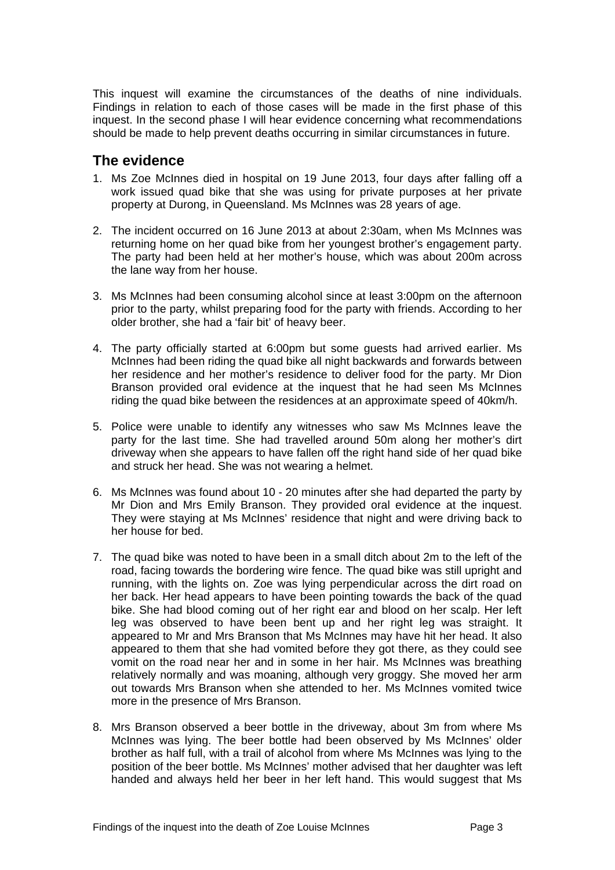This inquest will examine the circumstances of the deaths of nine individuals. Findings in relation to each of those cases will be made in the first phase of this inquest. In the second phase I will hear evidence concerning what recommendations should be made to help prevent deaths occurring in similar circumstances in future.

#### <span id="page-3-0"></span>**The evidence**

- 1. Ms Zoe McInnes died in hospital on 19 June 2013, four days after falling off a work issued quad bike that she was using for private purposes at her private property at Durong, in Queensland. Ms McInnes was 28 years of age.
- 2. The incident occurred on 16 June 2013 at about 2:30am, when Ms McInnes was returning home on her quad bike from her youngest brother's engagement party. The party had been held at her mother's house, which was about 200m across the lane way from her house.
- 3. Ms McInnes had been consuming alcohol since at least 3:00pm on the afternoon prior to the party, whilst preparing food for the party with friends. According to her older brother, she had a 'fair bit' of heavy beer.
- 4. The party officially started at 6:00pm but some guests had arrived earlier. Ms McInnes had been riding the quad bike all night backwards and forwards between her residence and her mother's residence to deliver food for the party. Mr Dion Branson provided oral evidence at the inquest that he had seen Ms McInnes riding the quad bike between the residences at an approximate speed of 40km/h.
- 5. Police were unable to identify any witnesses who saw Ms McInnes leave the party for the last time. She had travelled around 50m along her mother's dirt driveway when she appears to have fallen off the right hand side of her quad bike and struck her head. She was not wearing a helmet.
- 6. Ms McInnes was found about 10 20 minutes after she had departed the party by Mr Dion and Mrs Emily Branson. They provided oral evidence at the inquest. They were staying at Ms McInnes' residence that night and were driving back to her house for bed.
- 7. The quad bike was noted to have been in a small ditch about 2m to the left of the road, facing towards the bordering wire fence. The quad bike was still upright and running, with the lights on. Zoe was lying perpendicular across the dirt road on her back. Her head appears to have been pointing towards the back of the quad bike. She had blood coming out of her right ear and blood on her scalp. Her left leg was observed to have been bent up and her right leg was straight. It appeared to Mr and Mrs Branson that Ms McInnes may have hit her head. It also appeared to them that she had vomited before they got there, as they could see vomit on the road near her and in some in her hair. Ms McInnes was breathing relatively normally and was moaning, although very groggy. She moved her arm out towards Mrs Branson when she attended to her. Ms McInnes vomited twice more in the presence of Mrs Branson.
- 8. Mrs Branson observed a beer bottle in the driveway, about 3m from where Ms McInnes was lying. The beer bottle had been observed by Ms McInnes' older brother as half full, with a trail of alcohol from where Ms McInnes was lying to the position of the beer bottle. Ms McInnes' mother advised that her daughter was left handed and always held her beer in her left hand. This would suggest that Ms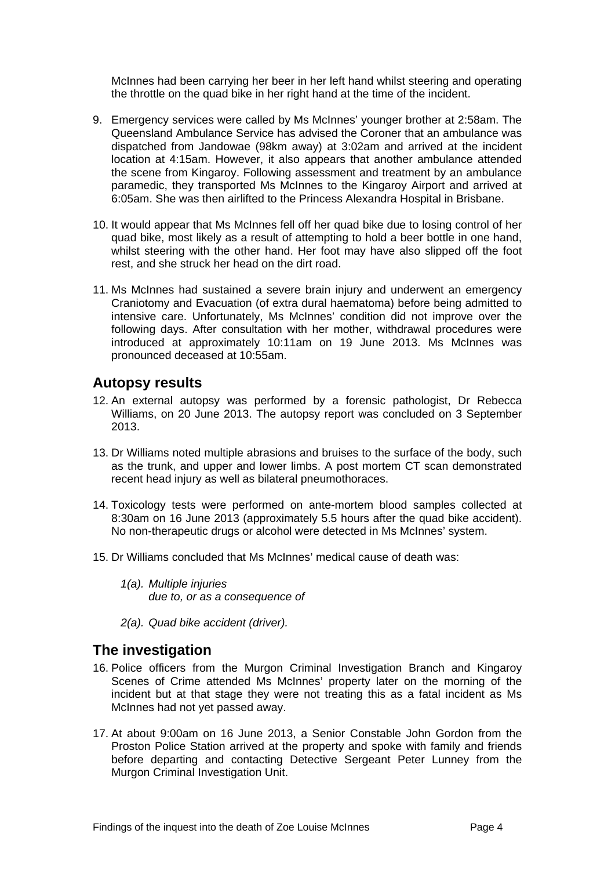McInnes had been carrying her beer in her left hand whilst steering and operating the throttle on the quad bike in her right hand at the time of the incident.

- 9. Emergency services were called by Ms McInnes' younger brother at 2:58am. The Queensland Ambulance Service has advised the Coroner that an ambulance was dispatched from Jandowae (98km away) at 3:02am and arrived at the incident location at 4:15am. However, it also appears that another ambulance attended the scene from Kingaroy. Following assessment and treatment by an ambulance paramedic, they transported Ms McInnes to the Kingaroy Airport and arrived at 6:05am. She was then airlifted to the Princess Alexandra Hospital in Brisbane.
- 10. It would appear that Ms McInnes fell off her quad bike due to losing control of her quad bike, most likely as a result of attempting to hold a beer bottle in one hand, whilst steering with the other hand. Her foot may have also slipped off the foot rest, and she struck her head on the dirt road.
- 11. Ms McInnes had sustained a severe brain injury and underwent an emergency Craniotomy and Evacuation (of extra dural haematoma) before being admitted to intensive care. Unfortunately, Ms McInnes' condition did not improve over the following days. After consultation with her mother, withdrawal procedures were introduced at approximately 10:11am on 19 June 2013. Ms McInnes was pronounced deceased at 10:55am.

#### <span id="page-4-0"></span>**Autopsy results**

- 12. An external autopsy was performed by a forensic pathologist, Dr Rebecca Williams, on 20 June 2013. The autopsy report was concluded on 3 September 2013.
- 13. Dr Williams noted multiple abrasions and bruises to the surface of the body, such as the trunk, and upper and lower limbs. A post mortem CT scan demonstrated recent head injury as well as bilateral pneumothoraces.
- 14. Toxicology tests were performed on ante-mortem blood samples collected at 8:30am on 16 June 2013 (approximately 5.5 hours after the quad bike accident). No non-therapeutic drugs or alcohol were detected in Ms McInnes' system.
- 15. Dr Williams concluded that Ms McInnes' medical cause of death was:
	- *1(a). Multiple injuries due to, or as a consequence of*
	- *2(a). Quad bike accident (driver).*

#### <span id="page-4-1"></span>**The investigation**

- 16. Police officers from the Murgon Criminal Investigation Branch and Kingaroy Scenes of Crime attended Ms McInnes' property later on the morning of the incident but at that stage they were not treating this as a fatal incident as Ms McInnes had not yet passed away.
- 17. At about 9:00am on 16 June 2013, a Senior Constable John Gordon from the Proston Police Station arrived at the property and spoke with family and friends before departing and contacting Detective Sergeant Peter Lunney from the Murgon Criminal Investigation Unit.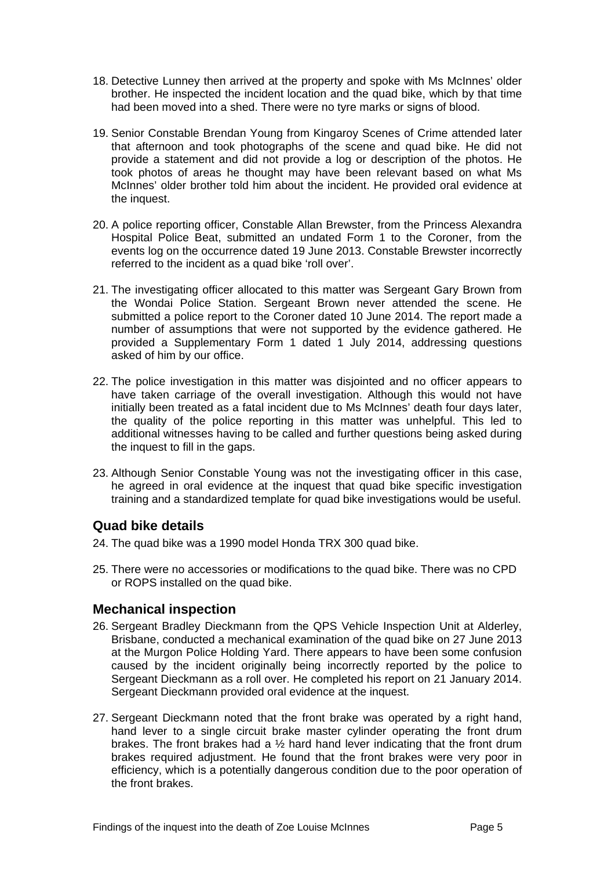- 18. Detective Lunney then arrived at the property and spoke with Ms McInnes' older brother. He inspected the incident location and the quad bike, which by that time had been moved into a shed. There were no tyre marks or signs of blood.
- 19. Senior Constable Brendan Young from Kingaroy Scenes of Crime attended later that afternoon and took photographs of the scene and quad bike. He did not provide a statement and did not provide a log or description of the photos. He took photos of areas he thought may have been relevant based on what Ms McInnes' older brother told him about the incident. He provided oral evidence at the inquest.
- 20. A police reporting officer, Constable Allan Brewster, from the Princess Alexandra Hospital Police Beat, submitted an undated Form 1 to the Coroner, from the events log on the occurrence dated 19 June 2013. Constable Brewster incorrectly referred to the incident as a quad bike 'roll over'.
- 21. The investigating officer allocated to this matter was Sergeant Gary Brown from the Wondai Police Station. Sergeant Brown never attended the scene. He submitted a police report to the Coroner dated 10 June 2014. The report made a number of assumptions that were not supported by the evidence gathered. He provided a Supplementary Form 1 dated 1 July 2014, addressing questions asked of him by our office.
- 22. The police investigation in this matter was disjointed and no officer appears to have taken carriage of the overall investigation. Although this would not have initially been treated as a fatal incident due to Ms McInnes' death four days later, the quality of the police reporting in this matter was unhelpful. This led to additional witnesses having to be called and further questions being asked during the inquest to fill in the gaps.
- 23. Although Senior Constable Young was not the investigating officer in this case, he agreed in oral evidence at the inquest that quad bike specific investigation training and a standardized template for quad bike investigations would be useful.

#### <span id="page-5-0"></span>**Quad bike details**

- 24. The quad bike was a 1990 model Honda TRX 300 quad bike.
- 25. There were no accessories or modifications to the quad bike. There was no CPD or ROPS installed on the quad bike.

#### <span id="page-5-1"></span>**Mechanical inspection**

- 26. Sergeant Bradley Dieckmann from the QPS Vehicle Inspection Unit at Alderley, Brisbane, conducted a mechanical examination of the quad bike on 27 June 2013 at the Murgon Police Holding Yard. There appears to have been some confusion caused by the incident originally being incorrectly reported by the police to Sergeant Dieckmann as a roll over. He completed his report on 21 January 2014. Sergeant Dieckmann provided oral evidence at the inquest.
- 27. Sergeant Dieckmann noted that the front brake was operated by a right hand, hand lever to a single circuit brake master cylinder operating the front drum brakes. The front brakes had a ½ hard hand lever indicating that the front drum brakes required adjustment. He found that the front brakes were very poor in efficiency, which is a potentially dangerous condition due to the poor operation of the front brakes.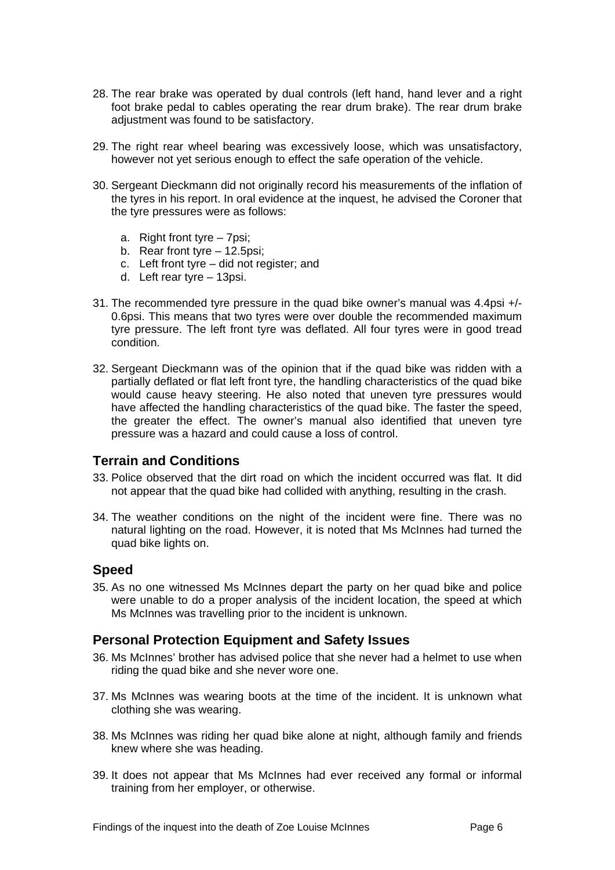- 28. The rear brake was operated by dual controls (left hand, hand lever and a right foot brake pedal to cables operating the rear drum brake). The rear drum brake adjustment was found to be satisfactory.
- 29. The right rear wheel bearing was excessively loose, which was unsatisfactory, however not yet serious enough to effect the safe operation of the vehicle.
- 30. Sergeant Dieckmann did not originally record his measurements of the inflation of the tyres in his report. In oral evidence at the inquest, he advised the Coroner that the tyre pressures were as follows:
	- a. Right front tyre 7psi;
	- b. Rear front tyre 12.5psi;
	- c. Left front tyre did not register; and
	- d. Left rear tyre 13psi.
- 31. The recommended tyre pressure in the quad bike owner's manual was 4.4psi +/- 0.6psi. This means that two tyres were over double the recommended maximum tyre pressure. The left front tyre was deflated. All four tyres were in good tread condition.
- 32. Sergeant Dieckmann was of the opinion that if the quad bike was ridden with a partially deflated or flat left front tyre, the handling characteristics of the quad bike would cause heavy steering. He also noted that uneven tyre pressures would have affected the handling characteristics of the quad bike. The faster the speed, the greater the effect. The owner's manual also identified that uneven tyre pressure was a hazard and could cause a loss of control.

#### <span id="page-6-0"></span>**Terrain and Conditions**

- 33. Police observed that the dirt road on which the incident occurred was flat. It did not appear that the quad bike had collided with anything, resulting in the crash.
- 34. The weather conditions on the night of the incident were fine. There was no natural lighting on the road. However, it is noted that Ms McInnes had turned the quad bike lights on.

#### <span id="page-6-1"></span>**Speed**

35. As no one witnessed Ms McInnes depart the party on her quad bike and police were unable to do a proper analysis of the incident location, the speed at which Ms McInnes was travelling prior to the incident is unknown.

#### **Personal Protection Equipment and Safety Issues**

- 36. Ms McInnes' brother has advised police that she never had a helmet to use when riding the quad bike and she never wore one.
- 37. Ms McInnes was wearing boots at the time of the incident. It is unknown what clothing she was wearing.
- 38. Ms McInnes was riding her quad bike alone at night, although family and friends knew where she was heading.
- 39. It does not appear that Ms McInnes had ever received any formal or informal training from her employer, or otherwise.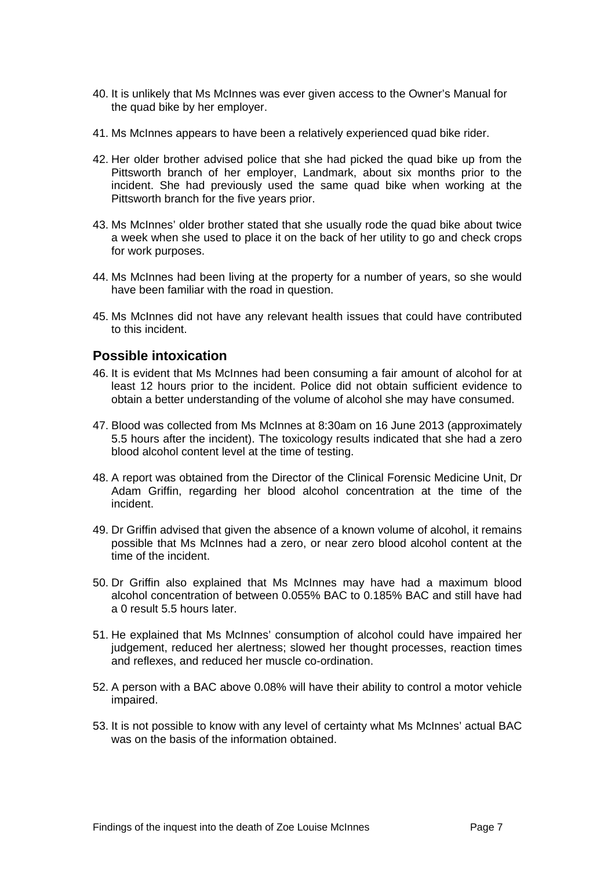- 40. It is unlikely that Ms McInnes was ever given access to the Owner's Manual for the quad bike by her employer.
- 41. Ms McInnes appears to have been a relatively experienced quad bike rider.
- 42. Her older brother advised police that she had picked the quad bike up from the Pittsworth branch of her employer, Landmark, about six months prior to the incident. She had previously used the same quad bike when working at the Pittsworth branch for the five years prior.
- 43. Ms McInnes' older brother stated that she usually rode the quad bike about twice a week when she used to place it on the back of her utility to go and check crops for work purposes.
- 44. Ms McInnes had been living at the property for a number of years, so she would have been familiar with the road in question.
- 45. Ms McInnes did not have any relevant health issues that could have contributed to this incident.

#### <span id="page-7-0"></span>**Possible intoxication**

- 46. It is evident that Ms McInnes had been consuming a fair amount of alcohol for at least 12 hours prior to the incident. Police did not obtain sufficient evidence to obtain a better understanding of the volume of alcohol she may have consumed.
- 47. Blood was collected from Ms McInnes at 8:30am on 16 June 2013 (approximately 5.5 hours after the incident). The toxicology results indicated that she had a zero blood alcohol content level at the time of testing.
- 48. A report was obtained from the Director of the Clinical Forensic Medicine Unit, Dr Adam Griffin, regarding her blood alcohol concentration at the time of the incident.
- 49. Dr Griffin advised that given the absence of a known volume of alcohol, it remains possible that Ms McInnes had a zero, or near zero blood alcohol content at the time of the incident.
- 50. Dr Griffin also explained that Ms McInnes may have had a maximum blood alcohol concentration of between 0.055% BAC to 0.185% BAC and still have had a 0 result 5.5 hours later.
- 51. He explained that Ms McInnes' consumption of alcohol could have impaired her judgement, reduced her alertness; slowed her thought processes, reaction times and reflexes, and reduced her muscle co-ordination.
- 52. A person with a BAC above 0.08% will have their ability to control a motor vehicle impaired.
- 53. It is not possible to know with any level of certainty what Ms McInnes' actual BAC was on the basis of the information obtained.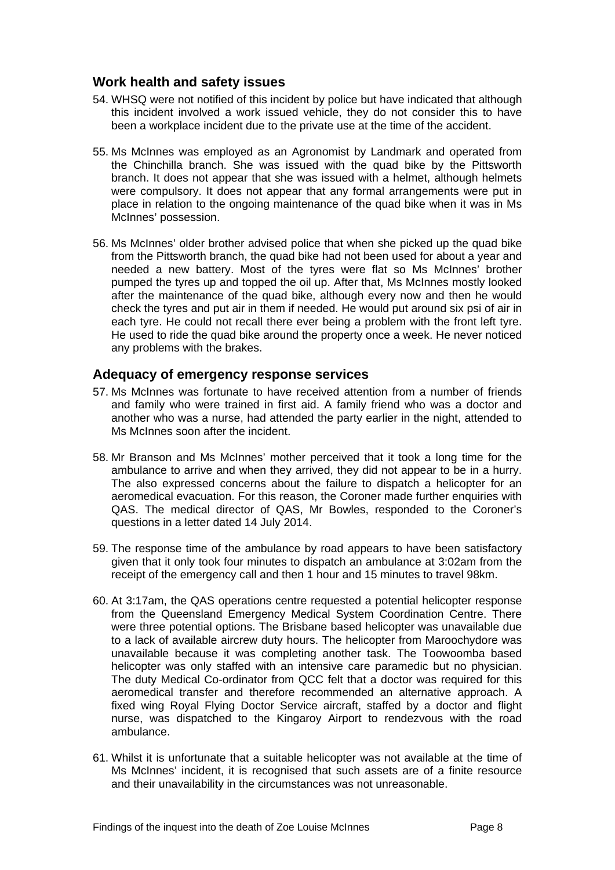#### <span id="page-8-0"></span>**Work health and safety issues**

- 54. WHSQ were not notified of this incident by police but have indicated that although this incident involved a work issued vehicle, they do not consider this to have been a workplace incident due to the private use at the time of the accident.
- 55. Ms McInnes was employed as an Agronomist by Landmark and operated from the Chinchilla branch. She was issued with the quad bike by the Pittsworth branch. It does not appear that she was issued with a helmet, although helmets were compulsory. It does not appear that any formal arrangements were put in place in relation to the ongoing maintenance of the quad bike when it was in Ms McInnes' possession.
- 56. Ms McInnes' older brother advised police that when she picked up the quad bike from the Pittsworth branch, the quad bike had not been used for about a year and needed a new battery. Most of the tyres were flat so Ms McInnes' brother pumped the tyres up and topped the oil up. After that, Ms McInnes mostly looked after the maintenance of the quad bike, although every now and then he would check the tyres and put air in them if needed. He would put around six psi of air in each tyre. He could not recall there ever being a problem with the front left tyre. He used to ride the quad bike around the property once a week. He never noticed any problems with the brakes.

#### <span id="page-8-1"></span>**Adequacy of emergency response services**

- 57. Ms McInnes was fortunate to have received attention from a number of friends and family who were trained in first aid. A family friend who was a doctor and another who was a nurse, had attended the party earlier in the night, attended to Ms McInnes soon after the incident.
- 58. Mr Branson and Ms McInnes' mother perceived that it took a long time for the ambulance to arrive and when they arrived, they did not appear to be in a hurry. The also expressed concerns about the failure to dispatch a helicopter for an aeromedical evacuation. For this reason, the Coroner made further enquiries with QAS. The medical director of QAS, Mr Bowles, responded to the Coroner's questions in a letter dated 14 July 2014.
- 59. The response time of the ambulance by road appears to have been satisfactory given that it only took four minutes to dispatch an ambulance at 3:02am from the receipt of the emergency call and then 1 hour and 15 minutes to travel 98km.
- 60. At 3:17am, the QAS operations centre requested a potential helicopter response from the Queensland Emergency Medical System Coordination Centre. There were three potential options. The Brisbane based helicopter was unavailable due to a lack of available aircrew duty hours. The helicopter from Maroochydore was unavailable because it was completing another task. The Toowoomba based helicopter was only staffed with an intensive care paramedic but no physician. The duty Medical Co-ordinator from QCC felt that a doctor was required for this aeromedical transfer and therefore recommended an alternative approach. A fixed wing Royal Flying Doctor Service aircraft, staffed by a doctor and flight nurse, was dispatched to the Kingaroy Airport to rendezvous with the road ambulance.
- 61. Whilst it is unfortunate that a suitable helicopter was not available at the time of Ms McInnes' incident, it is recognised that such assets are of a finite resource and their unavailability in the circumstances was not unreasonable.